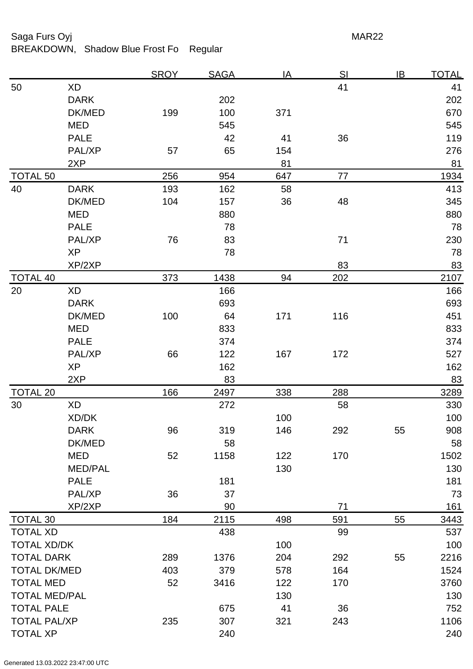## Saga Furs Oyj **MAR22**

BREAKDOWN, Shadow Blue Frost Fo Regular

|                      |                | <b>SROY</b> | <b>SAGA</b> | <u>IA</u> | <u>SI</u> | IB | <u>TOTAL</u> |
|----------------------|----------------|-------------|-------------|-----------|-----------|----|--------------|
| 50                   | <b>XD</b>      |             |             |           | 41        |    | 41           |
|                      | <b>DARK</b>    |             | 202         |           |           |    | 202          |
|                      | DK/MED         | 199         | 100         | 371       |           |    | 670          |
|                      | <b>MED</b>     |             | 545         |           |           |    | 545          |
|                      | <b>PALE</b>    |             | 42          | 41        | 36        |    | 119          |
|                      | PAL/XP         | 57          | 65          | 154       |           |    | 276          |
|                      | 2XP            |             |             | 81        |           |    | 81           |
| <b>TOTAL 50</b>      |                | 256         | 954         | 647       | 77        |    | 1934         |
| 40                   | <b>DARK</b>    | 193         | 162         | 58        |           |    | 413          |
|                      | DK/MED         | 104         | 157         | 36        | 48        |    | 345          |
|                      | <b>MED</b>     |             | 880         |           |           |    | 880          |
|                      | <b>PALE</b>    |             | 78          |           |           |    | 78           |
|                      | PAL/XP         | 76          | 83          |           | 71        |    | 230          |
|                      | <b>XP</b>      |             | 78          |           |           |    | 78           |
|                      | XP/2XP         |             |             |           | 83        |    | 83           |
| <b>TOTAL 40</b>      |                | 373         | 1438        | 94        | 202       |    | 2107         |
| 20                   | XD             |             | 166         |           |           |    | 166          |
|                      | <b>DARK</b>    |             | 693         |           |           |    | 693          |
|                      | DK/MED         | 100         | 64          | 171       | 116       |    | 451          |
|                      | <b>MED</b>     |             | 833         |           |           |    | 833          |
|                      | <b>PALE</b>    |             | 374         |           |           |    | 374          |
|                      | PAL/XP         | 66          | 122         | 167       | 172       |    | 527          |
|                      | <b>XP</b>      |             | 162         |           |           |    | 162          |
|                      | 2XP            |             | 83          |           |           |    | 83           |
| <b>TOTAL 20</b>      |                | 166         | 2497        | 338       | 288       |    | 3289         |
| 30                   | XD             |             | 272         |           | 58        |    | 330          |
|                      | XD/DK          |             |             | 100       |           |    | 100          |
|                      | <b>DARK</b>    | 96          | 319         | 146       | 292       | 55 | 908          |
|                      | DK/MED         |             | 58          |           |           |    | 58           |
|                      | MED            | 52          | 1158        | 122       | 170       |    | 1502         |
|                      | <b>MED/PAL</b> |             |             | 130       |           |    | 130          |
|                      | <b>PALE</b>    |             | 181         |           |           |    | 181          |
|                      | PAL/XP         | 36          | 37          |           |           |    | 73           |
|                      | XP/2XP         |             | 90          |           | 71        |    | 161          |
| <b>TOTAL 30</b>      |                | 184         | 2115        | 498       | 591       | 55 | 3443         |
| <b>TOTAL XD</b>      |                |             | 438         |           | 99        |    | 537          |
| <b>TOTAL XD/DK</b>   |                |             |             | 100       |           |    | 100          |
| <b>TOTAL DARK</b>    |                | 289         | 1376        | 204       | 292       | 55 | 2216         |
| <b>TOTAL DK/MED</b>  |                | 403         | 379         | 578       | 164       |    | 1524         |
| <b>TOTAL MED</b>     |                | 52          | 3416        | 122       | 170       |    | 3760         |
| <b>TOTAL MED/PAL</b> |                |             |             | 130       |           |    | 130          |
| <b>TOTAL PALE</b>    |                |             | 675         | 41        | 36        |    | 752          |
| <b>TOTAL PAL/XP</b>  |                | 235         | 307         | 321       | 243       |    | 1106         |
| <b>TOTAL XP</b>      |                |             | 240         |           |           |    | 240          |